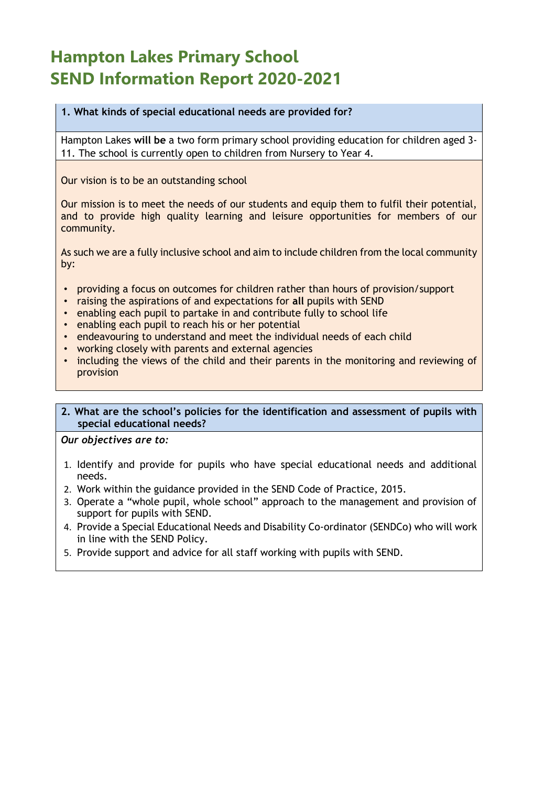# **Hampton Lakes Primary School SEND Information Report 2020-2021**

### **1. What kinds of special educational needs are provided for?**

Hampton Lakes **will be** a two form primary school providing education for children aged 3- 11. The school is currently open to children from Nursery to Year 4.

Our vision is to be an outstanding school

Our mission is to meet the needs of our students and equip them to fulfil their potential, and to provide high quality learning and leisure opportunities for members of our community.

As such we are a fully inclusive school and aim to include children from the local community by:

- providing a focus on outcomes for children rather than hours of provision/support
- raising the aspirations of and expectations for **all** pupils with SEND
- enabling each pupil to partake in and contribute fully to school life
- enabling each pupil to reach his or her potential
- endeavouring to understand and meet the individual needs of each child
- working closely with parents and external agencies
- including the views of the child and their parents in the monitoring and reviewing of provision

#### **2. What are the school's policies for the identification and assessment of pupils with special educational needs?**

*Our objectives are to:* 

- 1. Identify and provide for pupils who have special educational needs and additional needs.
- 2. Work within the guidance provided in the SEND Code of Practice, 2015.
- 3. Operate a "whole pupil, whole school" approach to the management and provision of support for pupils with SEND.
- 4. Provide a Special Educational Needs and Disability Co-ordinator (SENDCo) who will work in line with the SEND Policy.
- 5. Provide support and advice for all staff working with pupils with SEND.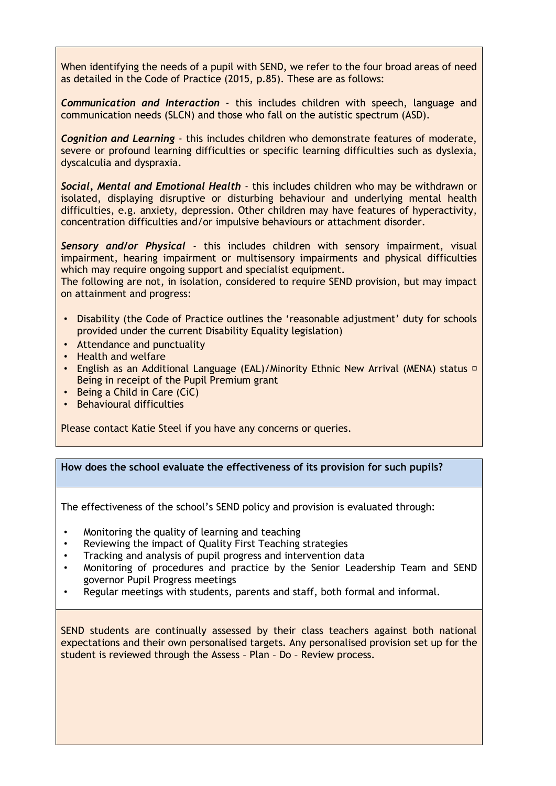When identifying the needs of a pupil with SEND, we refer to the four broad areas of need as detailed in the Code of Practice (2015, p.85). These are as follows:

*Communication and Interaction* - this includes children with speech, language and communication needs (SLCN) and those who fall on the autistic spectrum (ASD).

*Cognition and Learning* - this includes children who demonstrate features of moderate, severe or profound learning difficulties or specific learning difficulties such as dyslexia, dyscalculia and dyspraxia.

*Social, Mental and Emotional Health* - this includes children who may be withdrawn or isolated, displaying disruptive or disturbing behaviour and underlying mental health difficulties, e.g. anxiety, depression. Other children may have features of hyperactivity, concentration difficulties and/or impulsive behaviours or attachment disorder.

*Sensory and/or Physical* - this includes children with sensory impairment, visual impairment, hearing impairment or multisensory impairments and physical difficulties which may require ongoing support and specialist equipment.

The following are not, in isolation, considered to require SEND provision, but may impact on attainment and progress:

- Disability (the Code of Practice outlines the 'reasonable adjustment' duty for schools provided under the current Disability Equality legislation)
- Attendance and punctuality
- Health and welfare
- English as an Additional Language (EAL)/Minority Ethnic New Arrival (MENA) status **p** Being in receipt of the Pupil Premium grant
- Being a Child in Care (CiC)
- Behavioural difficulties

Please contact Katie Steel if you have any concerns or queries.

#### **How does the school evaluate the effectiveness of its provision for such pupils?**

The effectiveness of the school's SEND policy and provision is evaluated through:

- Monitoring the quality of learning and teaching
- Reviewing the impact of Quality First Teaching strategies
- Tracking and analysis of pupil progress and intervention data
- Monitoring of procedures and practice by the Senior Leadership Team and SEND governor Pupil Progress meetings
- Regular meetings with students, parents and staff, both formal and informal.

SEND students are continually assessed by their class teachers against both national expectations and their own personalised targets. Any personalised provision set up for the student is reviewed through the Assess – Plan – Do – Review process.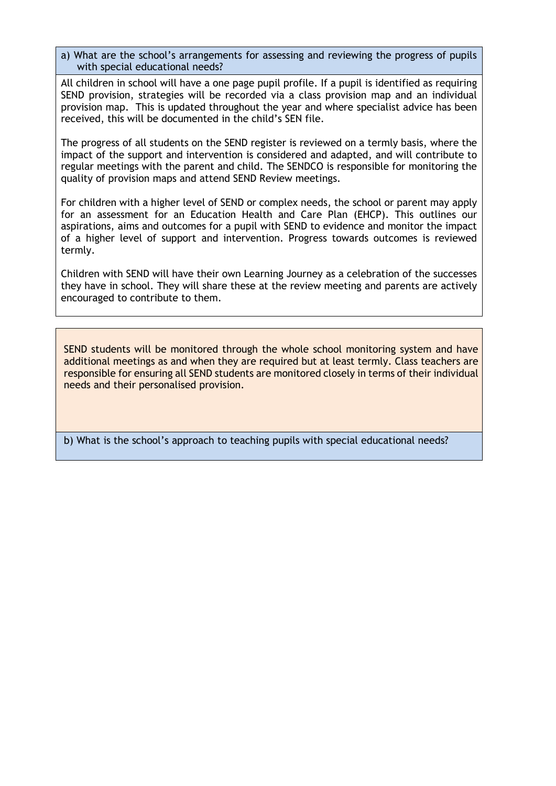a) What are the school's arrangements for assessing and reviewing the progress of pupils with special educational needs?

All children in school will have a one page pupil profile. If a pupil is identified as requiring SEND provision, strategies will be recorded via a class provision map and an individual provision map. This is updated throughout the year and where specialist advice has been received, this will be documented in the child's SEN file.

The progress of all students on the SEND register is reviewed on a termly basis, where the impact of the support and intervention is considered and adapted, and will contribute to regular meetings with the parent and child. The SENDCO is responsible for monitoring the quality of provision maps and attend SEND Review meetings.

For children with a higher level of SEND or complex needs, the school or parent may apply for an assessment for an Education Health and Care Plan (EHCP). This outlines our aspirations, aims and outcomes for a pupil with SEND to evidence and monitor the impact of a higher level of support and intervention. Progress towards outcomes is reviewed termly.

Children with SEND will have their own Learning Journey as a celebration of the successes they have in school. They will share these at the review meeting and parents are actively encouraged to contribute to them.

SEND students will be monitored through the whole school monitoring system and have additional meetings as and when they are required but at least termly. Class teachers are responsible for ensuring all SEND students are monitored closely in terms of their individual needs and their personalised provision.

b) What is the school's approach to teaching pupils with special educational needs?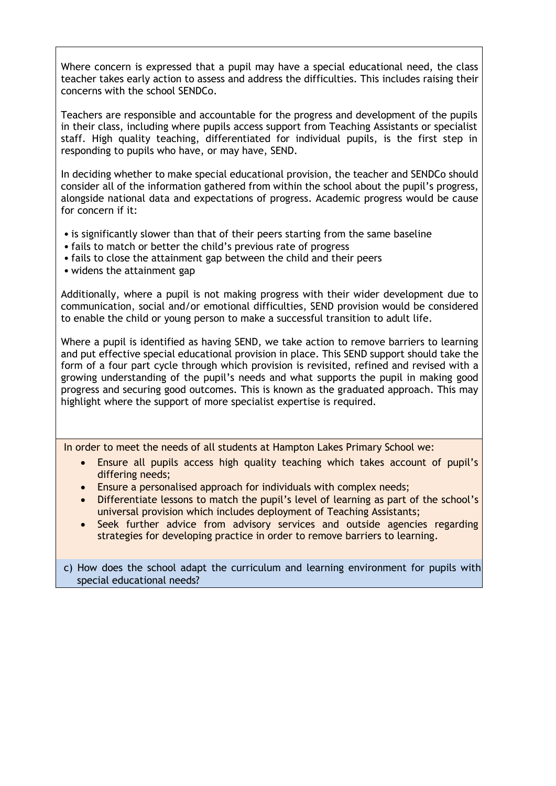Where concern is expressed that a pupil may have a special educational need, the class teacher takes early action to assess and address the difficulties. This includes raising their concerns with the school SENDCo.

Teachers are responsible and accountable for the progress and development of the pupils in their class, including where pupils access support from Teaching Assistants or specialist staff. High quality teaching, differentiated for individual pupils, is the first step in responding to pupils who have, or may have, SEND.

In deciding whether to make special educational provision, the teacher and SENDCo should consider all of the information gathered from within the school about the pupil's progress, alongside national data and expectations of progress. Academic progress would be cause for concern if it:

- is significantly slower than that of their peers starting from the same baseline
- fails to match or better the child's previous rate of progress
- fails to close the attainment gap between the child and their peers
- widens the attainment gap

Additionally, where a pupil is not making progress with their wider development due to communication, social and/or emotional difficulties, SEND provision would be considered to enable the child or young person to make a successful transition to adult life.

Where a pupil is identified as having SEND, we take action to remove barriers to learning and put effective special educational provision in place. This SEND support should take the form of a four part cycle through which provision is revisited, refined and revised with a growing understanding of the pupil's needs and what supports the pupil in making good progress and securing good outcomes. This is known as the graduated approach. This may highlight where the support of more specialist expertise is required.

In order to meet the needs of all students at Hampton Lakes Primary School we:

- Ensure all pupils access high quality teaching which takes account of pupil's differing needs;
- Ensure a personalised approach for individuals with complex needs;
- Differentiate lessons to match the pupil's level of learning as part of the school's universal provision which includes deployment of Teaching Assistants;
- Seek further advice from advisory services and outside agencies regarding strategies for developing practice in order to remove barriers to learning.

c) How does the school adapt the curriculum and learning environment for pupils with special educational needs?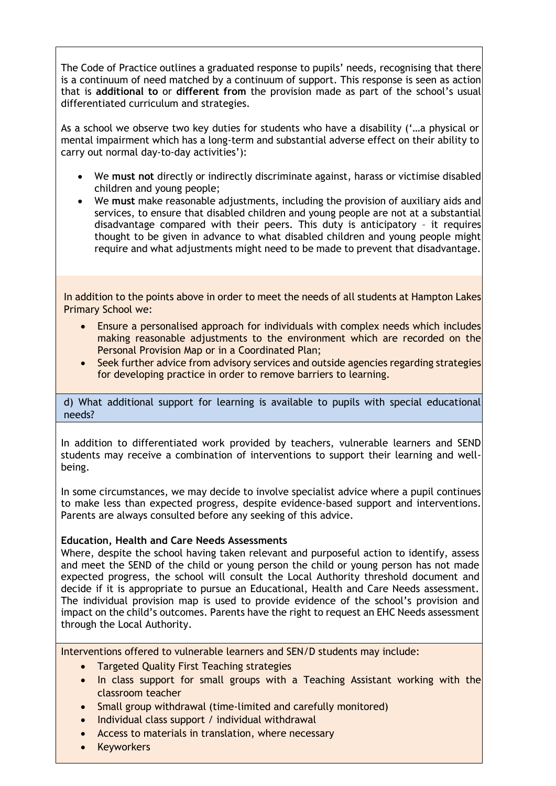The Code of Practice outlines a graduated response to pupils' needs, recognising that there is a continuum of need matched by a continuum of support. This response is seen as action that is **additional to** or **different from** the provision made as part of the school's usual differentiated curriculum and strategies.

As a school we observe two key duties for students who have a disability ('…a physical or mental impairment which has a long-term and substantial adverse effect on their ability to carry out normal day-to-day activities'):

- We **must not** directly or indirectly discriminate against, harass or victimise disabled children and young people;
- We **must** make reasonable adjustments, including the provision of auxiliary aids and services, to ensure that disabled children and young people are not at a substantial disadvantage compared with their peers. This duty is anticipatory – it requires thought to be given in advance to what disabled children and young people might require and what adjustments might need to be made to prevent that disadvantage.

In addition to the points above in order to meet the needs of all students at Hampton Lakes Primary School we:

- Ensure a personalised approach for individuals with complex needs which includes making reasonable adjustments to the environment which are recorded on the Personal Provision Map or in a Coordinated Plan;
- Seek further advice from advisory services and outside agencies regarding strategies for developing practice in order to remove barriers to learning.

d) What additional support for learning is available to pupils with special educational needs?

In addition to differentiated work provided by teachers, vulnerable learners and SEND students may receive a combination of interventions to support their learning and wellbeing.

In some circumstances, we may decide to involve specialist advice where a pupil continues to make less than expected progress, despite evidence-based support and interventions. Parents are always consulted before any seeking of this advice.

#### **Education, Health and Care Needs Assessments**

Where, despite the school having taken relevant and purposeful action to identify, assess and meet the SEND of the child or young person the child or young person has not made expected progress, the school will consult the Local Authority threshold document and decide if it is appropriate to pursue an Educational, Health and Care Needs assessment. The individual provision map is used to provide evidence of the school's provision and impact on the child's outcomes. Parents have the right to request an EHC Needs assessment through the Local Authority.

Interventions offered to vulnerable learners and SEN/D students may include:

- Targeted Quality First Teaching strategies
- In class support for small groups with a Teaching Assistant working with the classroom teacher
- Small group withdrawal (time-limited and carefully monitored)
- Individual class support / individual withdrawal
- Access to materials in translation, where necessary
- Keyworkers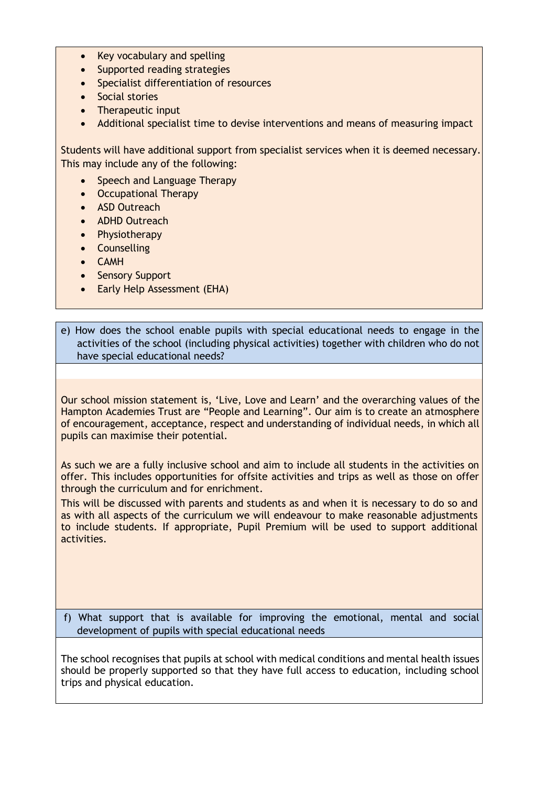- Key vocabulary and spelling
- Supported reading strategies
- Specialist differentiation of resources
- Social stories
- Therapeutic input
- Additional specialist time to devise interventions and means of measuring impact

Students will have additional support from specialist services when it is deemed necessary. This may include any of the following:

- Speech and Language Therapy
- Occupational Therapy
- ASD Outreach
- ADHD Outreach
- Physiotherapy
- Counselling
- CAMH
- Sensory Support
- Early Help Assessment (EHA)

e) How does the school enable pupils with special educational needs to engage in the activities of the school (including physical activities) together with children who do not have special educational needs?

Our school mission statement is, 'Live, Love and Learn' and the overarching values of the Hampton Academies Trust are "People and Learning". Our aim is to create an atmosphere of encouragement, acceptance, respect and understanding of individual needs, in which all pupils can maximise their potential.

As such we are a fully inclusive school and aim to include all students in the activities on offer. This includes opportunities for offsite activities and trips as well as those on offer through the curriculum and for enrichment.

This will be discussed with parents and students as and when it is necessary to do so and as with all aspects of the curriculum we will endeavour to make reasonable adjustments to include students. If appropriate, Pupil Premium will be used to support additional activities.

f) What support that is available for improving the emotional, mental and social development of pupils with special educational needs

The school recognises that pupils at school with medical conditions and mental health issues should be properly supported so that they have full access to education, including school trips and physical education.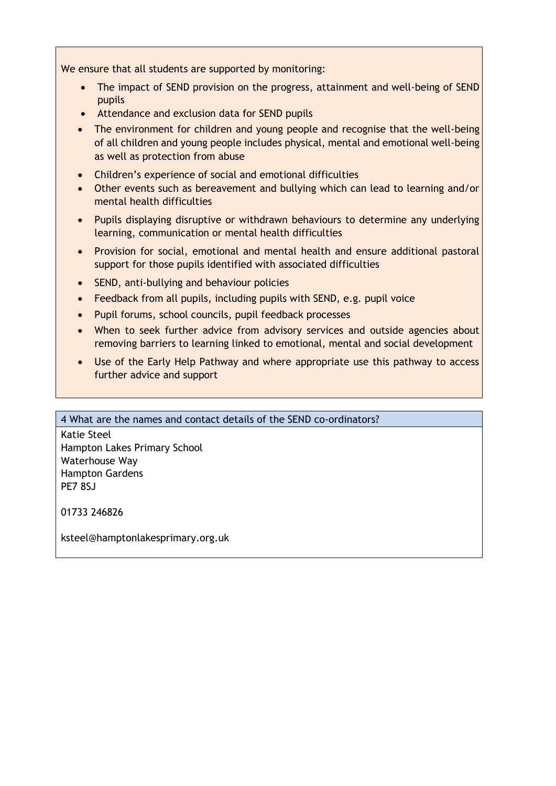We ensure that all students are supported by monitoring:

- The impact of SEND provision on the progress, attainment and well-being of SEND pupils
- Attendance and exclusion data for SEND pupils
- The environment for children and young people and recognise that the well-being of all children and young people includes physical, mental and emotional well-being as well as protection from abuse
- Children's experience of social and emotional difficulties
- Other events such as bereavement and bullying which can lead to learning and/or mental health difficulties
- Pupils displaying disruptive or withdrawn behaviours to determine any underlying learning, communication or mental health difficulties
- Provision for social, emotional and mental health and ensure additional pastoral support for those pupils identified with associated difficulties
- SEND, anti-bullying and behaviour policies
- Feedback from all pupils, including pupils with SEND, e.g. pupil voice
- Pupil forums, school councils, pupil feedback processes
- When to seek further advice from advisory services and outside agencies about removing barriers to learning linked to emotional, mental and social development
- Use of the Early Help Pathway and where appropriate use this pathway to access further advice and support

## 4 What are the names and contact details of the SEND co-ordinators?

Katie Steel Hampton Lakes Primary School Waterhouse Way Hampton Gardens PE7 8SJ

01733 246826

ksteel@hamptonlakesprimary.org.uk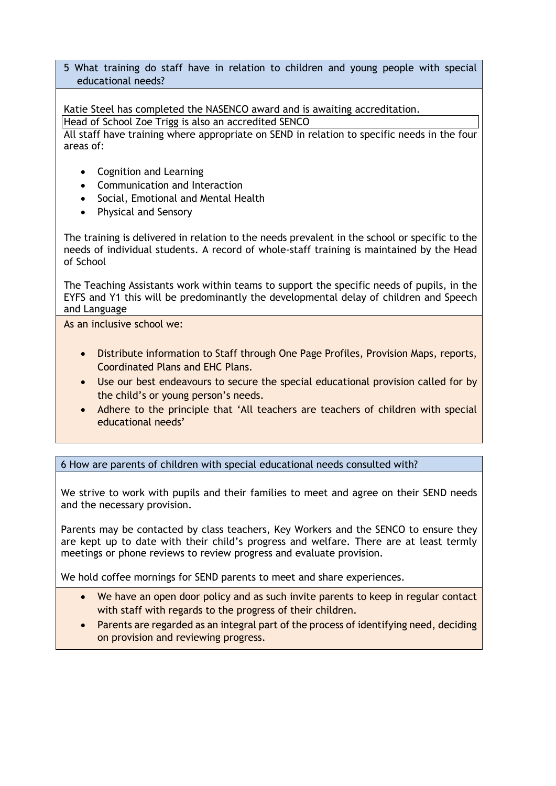5 What training do staff have in relation to children and young people with special educational needs?

Katie Steel has completed the NASENCO award and is awaiting accreditation. Head of School Zoe Trigg is also an accredited SENCO

All staff have training where appropriate on SEND in relation to specific needs in the four areas of:

- Cognition and Learning
- Communication and Interaction
- Social, Emotional and Mental Health
- Physical and Sensory

The training is delivered in relation to the needs prevalent in the school or specific to the needs of individual students. A record of whole-staff training is maintained by the Head of School

The Teaching Assistants work within teams to support the specific needs of pupils, in the EYFS and Y1 this will be predominantly the developmental delay of children and Speech and Language

As an inclusive school we:

- Distribute information to Staff through One Page Profiles, Provision Maps, reports, Coordinated Plans and EHC Plans.
- Use our best endeavours to secure the special educational provision called for by the child's or young person's needs.
- Adhere to the principle that 'All teachers are teachers of children with special educational needs'

6 How are parents of children with special educational needs consulted with?

We strive to work with pupils and their families to meet and agree on their SEND needs and the necessary provision.

Parents may be contacted by class teachers, Key Workers and the SENCO to ensure they are kept up to date with their child's progress and welfare. There are at least termly meetings or phone reviews to review progress and evaluate provision.

We hold coffee mornings for SEND parents to meet and share experiences.

- We have an open door policy and as such invite parents to keep in regular contact with staff with regards to the progress of their children.
- Parents are regarded as an integral part of the process of identifying need, deciding on provision and reviewing progress.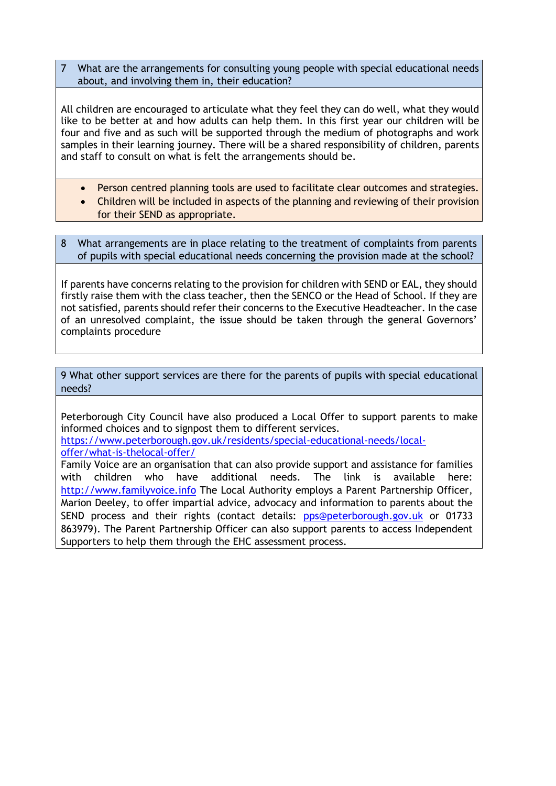7 What are the arrangements for consulting young people with special educational needs about, and involving them in, their education?

All children are encouraged to articulate what they feel they can do well, what they would like to be better at and how adults can help them. In this first year our children will be four and five and as such will be supported through the medium of photographs and work samples in their learning journey. There will be a shared responsibility of children, parents and staff to consult on what is felt the arrangements should be.

- Person centred planning tools are used to facilitate clear outcomes and strategies.
- Children will be included in aspects of the planning and reviewing of their provision for their SEND as appropriate.
- 8 What arrangements are in place relating to the treatment of complaints from parents of pupils with special educational needs concerning the provision made at the school?

If parents have concerns relating to the provision for children with SEND or EAL, they should firstly raise them with the class teacher, then the SENCO or the Head of School. If they are not satisfied, parents should refer their concerns to the Executive Headteacher. In the case of an unresolved complaint, the issue should be taken through the general Governors' complaints procedure

9 What other support services are there for the parents of pupils with special educational needs?

Peterborough City Council have also produced a Local Offer to support parents to make informed choices and to signpost them to different services.

[https://www.peterborough.gov.uk/residents/special-educational-needs/local](https://www.peterborough.gov.uk/residents/special-educational-needs/local-offer/what-is-the-local-offer/)[offer/what-is-thelocal-offer/](https://www.peterborough.gov.uk/residents/special-educational-needs/local-offer/what-is-the-local-offer/)

Family Voice are an organisation that can also provide support and assistance for families with children who have additional needs. The link is available here: [http://www.familyvoice.info](http://www.familyvoice.info/) The Local Authority employs a Parent Partnership Officer, Marion Deeley, to offer impartial advice, advocacy and information to parents about the SEND process and their rights (contact details: pps@peterborough.gov.uk or 01733 863979). The Parent Partnership Officer can also support parents to access Independent Supporters to help them through the EHC assessment process.